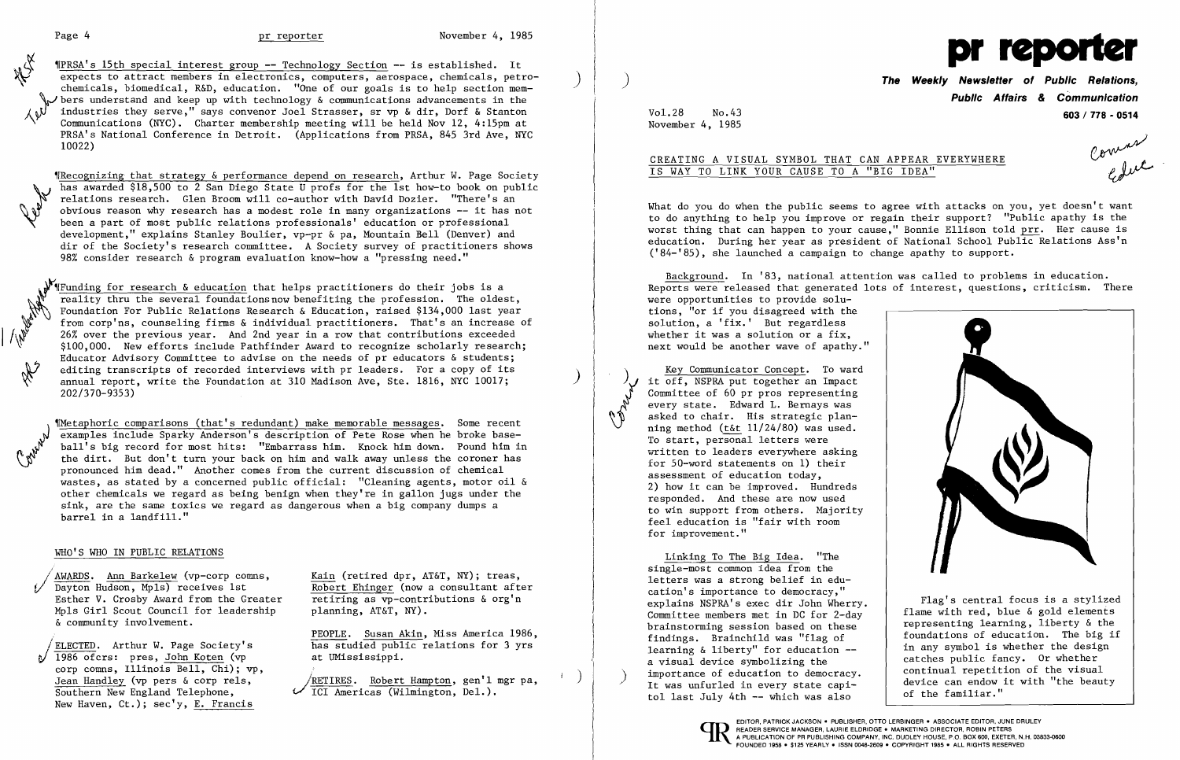"PRSA's 15th special interest group **--** Technology Section -- is established. It expects to attract members in electronics, computers, aerospace, chemicals, petro-<br>chemicals, biomedical, R&D, education. "One of our goals is to help section mem- $\searrow$  bers understand and keep up with technology & communications advancements in the industries they serve," says convenor Joel Strasser, sr vp & dir, Dorf & Stanton Communications (NYC). Charter membership meeting will be held Nov 12, 4:15pm at PRSA's National Conference in Detroit. (Applications from PRSA, 845 3rd Ave, NYC 10022)

Wecognizing that strategy & performance depend on research, Arthur W. Page Society has awarded \$18,500 to 2 San Diego State U profs for the 1st how-to book on public relations research. Glen Broom will co-author with David Dozier. "There's an obvious reason why research has a modest role in many organizations -- it has not been a part of most public relations professionals' education or professional development," explains Stanley Boulier, vp-pr & pa, Mountain Bell (Denver) and dir of the Society's research committee. A Society survey of practitioners shows 98% consider research & program evaluation know-how a "pressing need."

 $\sqrt{\Psi(\text{Funding for research & education}$  that helps practitioners do their jobs is a reality thru the several foundations now benefiting the profession. The oldest, Foundation For Public Relations Research & Education, raised \$134,000 last year from corp'ns, counseling firms & individual practitioners. That's an increase of  $26\%$  over the previous year. And 2nd year in a row that contributions exceeded \$100,000. New efforts include Pathfinder Award to recognize scholarly research; Educator Advisory Committee to advise on the needs of pr educators & students; editing transcripts of recorded interviews with pr leaders. For a copy of its annual report, write the Foundation at 310 Madison Ave, Ste. 1816, NYC 10017; 202/370-9353)

I "Metaphoric comparisons (that's redundant) make memorable messages. Some recent<br>examples include Sparky Anderson's description of Pete Rose when he broke base-<br>ball's big record for most hits: "Embarrass him. Knock him d examples include Sparky Anderson's description of Pete Rose when he broke baseball's big record for most hits: "Embarrass him. Knock him down. Pound him in the dirt. But don't turn your back on him and walk away unless the coroner has pronounced him dead." Another comes from the current discussion of chemical wastes, as stated by a concerned public official: "Cleaning agents, motor oil & other chemicals we regard as being benign when they're in gallon jugs under the sink, are the same toxics we regard as dangerous when a big company dumps a barrel in a landfill."

### WHO'S WHO IN PUBLIC RELATIONS

1986 ofcrs: pres, John Koten (vp at UMississippi. corp comns, Illinois Bell, Chi); vp,<br>Jean Handley (vp pers & corp rels, New Haven, Ct.); sec'y, E. Francis

**The Weekly Newsletter of Public Relations, Public Affairs & Communication**  Vol.28 No.43 **603 / 778 - 0514** 

comment

What do you do when the public seems to agree with attacks on you, yet doesn't want to do anything to help you improve or regain their support? "Public apathy is the worst thing that can happen to your cause," Bonnie Ellison told prr. Her cause is education. During her year as president of National School Public Relations Ass'n ('84-'85), she launched a campaign to change apathy to support.

/AWARDS. Ann Barkelew (vp-corp comns, Kain (retired dpr, AT&T, NY); treas, Dayton Hudson, Mpls) receives 1st Robert Ehinger (now a consultant after Esther V. Crosby Award from the Greater retiring as vp-contributions & org'n Mpls Girl Scout Council for leadership planning, AT&T, NY). & community involvement.

PEOPLE. Susan Akin, Miss America 1986, *JELECTED.* Arthur W. Page Society's has studied public relations for 3 yrs

Jean Handley (vp pers & corp rels,  $\overbrace{TCI}$  ARETIRES. Robert Hampton, gen'l mgr pa, Southern New England Telephone,  $\overbrace{TCI}$  Americas (Wilmington, Del.). ICI Americas (Wilmington, Del.).



November 4, 1985

Canal A

# CREATING A VISUAL SYMBOL THAT CAN APPEAR EVERYWHERE IS WAY TO LINK YOUR CAUSE TO A "BIG IDEA"

Background. In '83, national attention was called to problems in education. Reports were released that generated lots of interest, questions, criticism. There were opportunities to provide solutions, "or if you disagreed with the solution, a 'fix.' But regardless whether it was a solution or a fix, next would be another wave of apathy."

Key Communicator Concept. To ward it off, NSPRA put together an Impact Committee of 60 pr pros representing every state. Edward L. Bernays was asked to chair. His strategic planning method (t&t 11/24/80) was used. To start, personal letters were written to leaders everywhere asking for 50-word statements on 1) their assessment of education today, 2) how it can be improved. Hundreds responded. And these are now used to win support from others. Majority feel education is "fair with room for improvement."

Linking To The Big Idea. "The single-most common idea from the letters was a strong belief in education's importance to democracy," explains NSPRA's exec dir John Wherry. Committee members met in DC for 2-day brainstorming session based on these findings. Brainchild was "flag of learning & liberty" for education a visual device symbolizing the importance of education to democracy.<br>It was unfurled in every state capitol last July 4th -- which was also



FOUNDED 1958 • \$125 YEARLY. ISSN 0048·2609 • COPYRIGHT 1985' ALL RIGHTS RESERVED